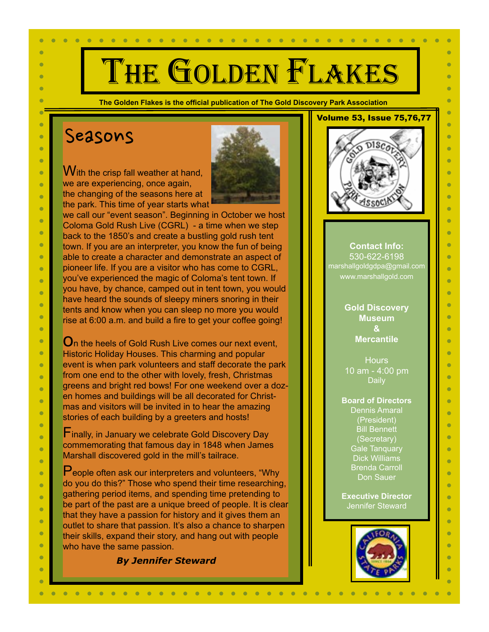# THE GOLDEN FLAKES

**The Golden Flakes is the official publication of The Gold Discovery Park Association** 

## Seasons

×

 $\bullet$ 

 $\bullet$ 

 $\bullet$ 

÷

 $\bullet$ 

 $\bullet$ 

 $\bullet$ 

×

 $\bullet$ 

 $\bullet$ 

 $\bullet$ 

 $\sqrt{2}$ 

 $\bullet$ 

Ċ

 $\bullet$ 

 $\sqrt{2}$ 

 $\bullet$ 

 $\bullet$ 

 $\bullet$ 

ò

 $\bullet$ 

 $\bullet$ 

 $\bullet$ 

 $\bullet$ 

 $\bullet$ 

 $\bullet$ 

 $\bullet$ 

 $\bullet$ 

 $\bullet$ 

 $\bullet$ 

 $\bullet$ 

 $\bullet$ 

ò  $\bullet$ 

 $\bullet$ 

 $\bullet$ ò

> Ò  $\bullet$

With the crisp fall weather at hand, we are experiencing, once again, the changing of the seasons here at



the park. This time of year starts what we call our "event season". Beginning in October we host Coloma Gold Rush Live (CGRL) - a time when we step back to the 1850's and create a bustling gold rush tent town. If you are an interpreter, you know the fun of being able to create a character and demonstrate an aspect of pioneer life. If you are a visitor who has come to CGRL, you've experienced the magic of Coloma's tent town. If you have, by chance, camped out in tent town, you would have heard the sounds of sleepy miners snoring in their tents and know when you can sleep no more you would rise at 6:00 a.m. and build a fire to get your coffee going!

 $\mathbf{O}_\text{n}$  the heels of Gold Rush Live comes our next event. Historic Holiday Houses. This charming and popular event is when park volunteers and staff decorate the park from one end to the other with lovely, fresh, Christmas greens and bright red bows! For one weekend over a dozen homes and buildings will be all decorated for Christmas and visitors will be invited in to hear the amazing stories of each building by a greeters and hosts!

**F** inally, in January we celebrate Gold Discovery Day commemorating that famous day in 1848 when James Marshall discovered gold in the mill's tailrace.

People often ask our interpreters and volunteers, "Why do you do this?" Those who spend their time researching, gathering period items, and spending time pretending to be part of the past are a unique breed of people. It is clear that they have a passion for history and it gives them an outlet to share that passion. It's also a chance to sharpen their skills, expand their story, and hang out with people who have the same passion.

#### *By Jennifer Steward*



 $\bullet$ 

 $\bullet$ 

 $\bullet$ 

 $\bullet$ 

÷

 $\bullet$ 

 $\bullet$ 

Ċ

 $\bullet$ 

÷

 $\bullet$ 

Ŏ

Ò

÷

 $\bullet$ 

 $\bullet$ 

 $\bullet$ 

 $\triangleright$ 

Ċ

Ċ

 $\bullet$ 

 $\bullet$ 

 $\bullet$ 

Ċ

 $\bullet$ 

 $\bullet$ 

 $\bullet$ 

Ċ

 $\bullet$ 

×

 $\bullet$ 

 $\bullet$ 

 $\bullet$ 

 $\bullet$ 

 $\bullet$ 

÷

 $\bullet$  $\bullet$ 



**Contact Info:** 530-622-6198 marshallgoldgdpa@gmail.com www.marshallgold.com

> **Gold Discovery Museum & Mercantile**

**Hours** 10 am - 4:00 pm Daily

**Board of Directors** Dennis Amaral (President) Bill Bennett (Secretary) Gale Tanquary Dick Williams Brenda Carroll Don Sauer

**Executive Director** Jennifer Steward

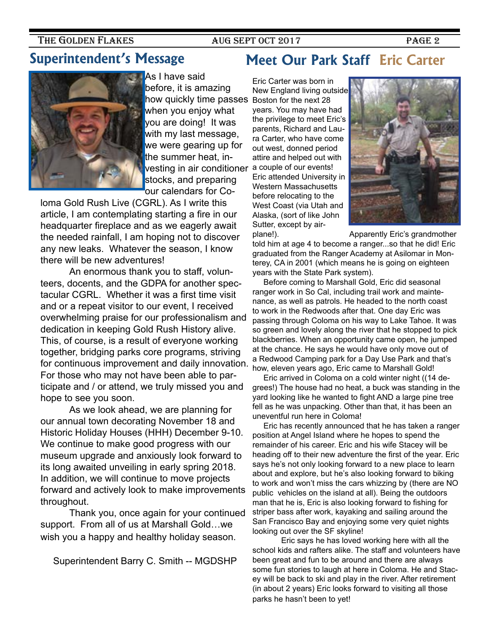## **Superintendent's Message**

As I have said before, it is amazing how quickly time passes when you enjoy what you are doing! It was with my last message, we were gearing up for the summer heat, investing in air conditioner stocks, and preparing our calendars for Co-

loma Gold Rush Live (CGRL). As I write this article, I am contemplating starting a fire in our headquarter fireplace and as we eagerly await the needed rainfall, I am hoping not to discover any new leaks. Whatever the season, I know there will be new adventures!

An enormous thank you to staff, volunteers, docents, and the GDPA for another spectacular CGRL. Whether it was a first time visit and or a repeat visitor to our event, I received overwhelming praise for our professionalism and dedication in keeping Gold Rush History alive. This, of course, is a result of everyone working together, bridging parks core programs, striving for continuous improvement and daily innovation. For those who may not have been able to participate and / or attend, we truly missed you and hope to see you soon.

 As we look ahead, we are planning for our annual town decorating November 18 and Historic Holiday Houses (HHH) December 9-10. We continue to make good progress with our museum upgrade and anxiously look forward to its long awaited unveiling in early spring 2018. In addition, we will continue to move projects forward and actively look to make improvements throughout.

Thank you, once again for your continued support. From all of us at Marshall Gold…we wish you a happy and healthy holiday season.

Superintendent Barry C. Smith -- MGDSHP

## **Meet Our Park Staff Eric Carter**

Eric Carter was born in New England living outside Boston for the next 28 years. You may have had the privilege to meet Eric's parents, Richard and Laura Carter, who have come out west, donned period attire and helped out with a couple of our events! Eric attended University in Western Massachusetts before relocating to the West Coast (via Utah and Alaska, (sort of like John Sutter, except by air-



plane!). Apparently Eric's grandmother

told him at age 4 to become a ranger...so that he did! Eric graduated from the Ranger Academy at Asilomar in Monterey, CA in 2001 (which means he is going on eighteen years with the State Park system).

 Before coming to Marshall Gold, Eric did seasonal ranger work in So Cal, including trail work and maintenance, as well as patrols. He headed to the north coast to work in the Redwoods after that. One day Eric was passing through Coloma on his way to Lake Tahoe. It was so green and lovely along the river that he stopped to pick blackberries. When an opportunity came open, he jumped at the chance. He says he would have only move out of a Redwood Camping park for a Day Use Park and that's how, eleven years ago, Eric came to Marshall Gold!

 Eric arrived in Coloma on a cold winter night ((14 degrees!) The house had no heat, a buck was standing in the yard looking like he wanted to fight AND a large pine tree fell as he was unpacking. Other than that, it has been an uneventful run here in Coloma!

 Eric has recently announced that he has taken a ranger position at Angel Island where he hopes to spend the remainder of his career. Eric and his wife Stacey will be heading off to their new adventure the first of the year. Eric says he's not only looking forward to a new place to learn about and explore, but he's also looking forward to biking to work and won't miss the cars whizzing by (there are NO public vehicles on the island at all). Being the outdoors man that he is, Eric is also looking forward to fishing for striper bass after work, kayaking and sailing around the San Francisco Bay and enjoying some very quiet nights looking out over the SF skyline!

Eric says he has loved working here with all the school kids and rafters alike. The staff and volunteers have been great and fun to be around and there are always some fun stories to laugh at here in Coloma. He and Stacey will be back to ski and play in the river. After retirement (in about 2 years) Eric looks forward to visiting all those parks he hasn't been to yet!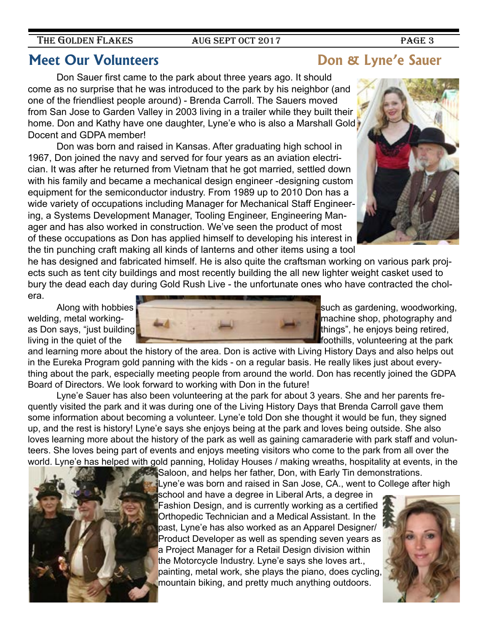## **Meet Our Volunteers Community Community Don & Lyne's Sauer**

Don Sauer first came to the park about three years ago. It should come as no surprise that he was introduced to the park by his neighbor (and one of the friendliest people around) - Brenda Carroll. The Sauers moved from San Jose to Garden Valley in 2003 living in a trailer while they built their home. Don and Kathy have one daughter, Lyne'e who is also a Marshall Gold Docent and GDPA member!

Don was born and raised in Kansas. After graduating high school in 1967, Don joined the navy and served for four years as an aviation electrician. It was after he returned from Vietnam that he got married, settled down with his family and became a mechanical design engineer -designing custom equipment for the semiconductor industry. From 1989 up to 2010 Don has a wide variety of occupations including Manager for Mechanical Staff Engineering, a Systems Development Manager, Tooling Engineer, Engineering Manager and has also worked in construction. We've seen the product of most of these occupations as Don has applied himself to developing his interest in the tin punching craft making all kinds of lanterns and other items using a tool

he has designed and fabricated himself. He is also quite the craftsman working on various park projects such as tent city buildings and most recently building the all new lighter weight casket used to bury the dead each day during Gold Rush Live - the unfortunate ones who have contracted the cholera.

living in the quiet of the **foothills**, volunteering at the park

and learning more about the history of the area. Don is active with Living History Days and also helps out in the Eureka Program gold panning with the kids - on a regular basis. He really likes just about everything about the park, especially meeting people from around the world. Don has recently joined the GDPA Board of Directors. We look forward to working with Don in the future!

Lyne'e Sauer has also been volunteering at the park for about 3 years. She and her parents frequently visited the park and it was during one of the Living History Days that Brenda Carroll gave them some information about becoming a volunteer. Lyne'e told Don she thought it would be fun, they signed up, and the rest is history! Lyne'e says she enjoys being at the park and loves being outside. She also loves learning more about the history of the park as well as gaining camaraderie with park staff and volunteers. She loves being part of events and enjoys meeting visitors who come to the park from all over the world. Lyne'e has helped with gold panning, Holiday Houses / making wreaths, hospitality at events, in the

Saloon, and helps her father, Don, with Early Tin demonstrations.

school and have a degree in Liberal Arts, a degree in Fashion Design, and is currently working as a certified Orthopedic Technician and a Medical Assistant. In the past, Lyne'e has also worked as an Apparel Designer/ Product Developer as well as spending seven years as a Project Manager for a Retail Design division within the Motorcycle Industry. Lyne'e says she loves art., painting, metal work, she plays the piano, does cycling, mountain biking, and pretty much anything outdoors.

Along with hobbies  $\blacksquare$ welding, metal workingas Don says, "just building the state of the state of the state of things", he enjoys being retired,







THE GOLDEN FLAKES AUG SEPT OCT 2017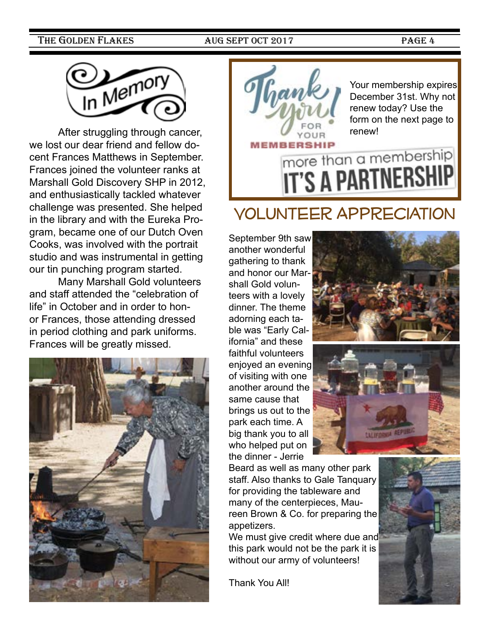

After struggling through cancer, we lost our dear friend and fellow docent Frances Matthews in September. Frances joined the volunteer ranks at Marshall Gold Discovery SHP in 2012, and enthusiastically tackled whatever challenge was presented. She helped in the library and with the Eureka Program, became one of our Dutch Oven Cooks, was involved with the portrait studio and was instrumental in getting our tin punching program started.

Many Marshall Gold volunteers and staff attended the "celebration of life" in October and in order to honor Frances, those attending dressed in period clothing and park uniforms. Frances will be greatly missed.





Gank Pour membership expires December 31st. Why not renew today? Use the form on the next page to renew!

# **IT'S A PARTNERS**

# Volunteer Appreciation

September 9th saw another wonderful gathering to thank and honor our Marshall Gold volunteers with a lovely dinner. The theme adorning each table was "Early California" and these faithful volunteers enjoyed an evening of visiting with one another around the same cause that brings us out to the park each time. A big thank you to all who helped put on the dinner - Jerrie





Beard as well as many other park staff. Also thanks to Gale Tanquary for providing the tableware and many of the centerpieces, Maureen Brown & Co. for preparing the appetizers.

We must give credit where due and this park would not be the park it is without our army of volunteers!

Thank You All!

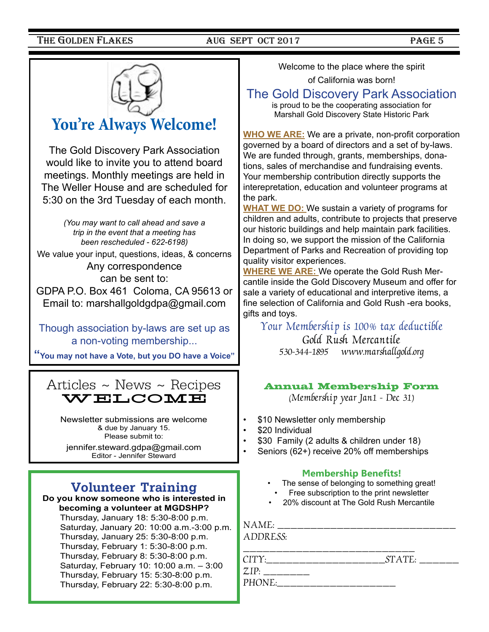![](_page_4_Picture_3.jpeg)

## **You're Always Welcome!**

The Gold Discovery Park Association would like to invite you to attend board meetings. Monthly meetings are held in The Weller House and are scheduled for 5:30 on the 3rd Tuesday of each month.

> *(You may want to call ahead and save a trip in the event that a meeting has been rescheduled - 622-6198)*

We value your input, questions, ideas, & concerns Any correspondence can be sent to: GDPA P.O. Box 461 Coloma, CA 95613 or

Email to: marshallgoldgdpa@gmail.com

Though association by-laws are set up as a non-voting membership...

**"You may not have a Vote, but you DO have a Voice"**

![](_page_4_Picture_11.jpeg)

Newsletter submissions are welcome & due by January 15. Please submit to:

jennifer.steward.gdpa@gmail.com Editor - Jennifer Steward

## **Volunteer Training**

#### **Do you know someone who is interested in becoming a volunteer at MGDSHP?** Thursday, January 18: 5:30-8:00 p.m. Saturday, January 20: 10:00 a.m.-3:00 p.m. Thursday, January 25: 5:30-8:00 p.m. Thursday, February 1: 5:30-8:00 p.m. Thursday, February 8: 5:30-8:00 p.m.

Saturday, February 10: 10:00 a.m. – 3:00 Thursday, February 15: 5:30-8:00 p.m. Thursday, February 22: 5:30-8:00 p.m.

Welcome to the place where the spirit

of California was born!

### The Gold Discovery Park Association

is proud to be the cooperating association for Marshall Gold Discovery State Historic Park

**WHO WE ARE:** We are a private, non-profit corporation governed by a board of directors and a set of by-laws. We are funded through, grants, memberships, donations, sales of merchandise and fundraising events. Your membership contribution directly supports the interepretation, education and volunteer programs at the park.

**WHAT WE DO:** We sustain a variety of programs for children and adults, contribute to projects that preserve our historic buildings and help maintain park facilities. In doing so, we support the mission of the California Department of Parks and Recreation of providing top quality visitor experiences.

**WHERE WE ARE:** We operate the Gold Rush Mercantile inside the Gold Discovery Museum and offer for sale a variety of educational and interpretive items, a fine selection of California and Gold Rush -era books, gifts and toys.

Your Membership is 100% tax deductible

Gold Rush Mercantile 530-344-1895 www.marshallgold.org

#### Annual Membership Form

(Membership year Jan1 - Dec 31)

- \$10 Newsletter only membership
- \$20 Individual
- \$30 Family (2 adults & children under 18)
- Seniors (62+) receive 20% off memberships

#### **Membership Benefits!**

- The sense of belonging to something great!
- Free subscription to the print newsletter
- 20% discount at The Gold Rush Mercantile

NAME: \_\_\_\_\_\_\_\_\_\_\_\_\_\_\_\_\_\_\_\_\_\_\_\_\_

ADDRESS:

\_\_\_\_\_\_\_\_\_\_\_\_\_\_\_\_\_\_\_\_\_\_\_\_\_\_ CITY:\_\_\_\_\_\_\_\_\_\_\_\_\_\_\_\_\_\_\_\_\_\_\_\_\_\_\_\_\_\_\_\_STATE: \_\_\_\_\_\_\_\_\_

 $ZIP:$  \_\_\_\_\_\_\_\_ PHONE: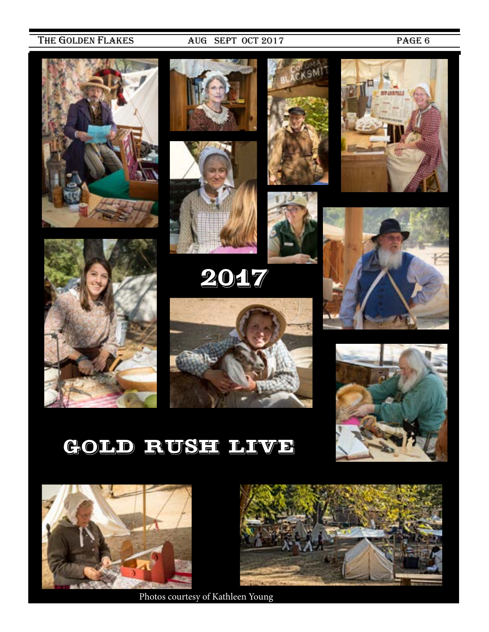![](_page_5_Picture_3.jpeg)

![](_page_5_Picture_4.jpeg)

![](_page_5_Picture_5.jpeg)

2017

![](_page_5_Picture_7.jpeg)

![](_page_5_Picture_8.jpeg)

![](_page_5_Picture_9.jpeg)

![](_page_5_Picture_10.jpeg)

![](_page_5_Picture_11.jpeg)

![](_page_5_Picture_12.jpeg)

# GOLD RUSH LIVE

![](_page_5_Picture_14.jpeg)

Photos courtesy of Kathleen Young

![](_page_5_Picture_16.jpeg)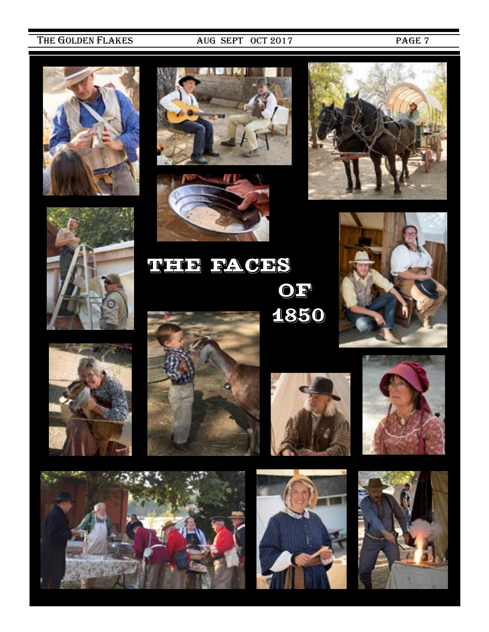![](_page_6_Picture_3.jpeg)

![](_page_6_Picture_4.jpeg)

![](_page_6_Picture_5.jpeg)

![](_page_6_Picture_6.jpeg)

![](_page_6_Picture_7.jpeg)

THE FACES OF<sup>1</sup> 1850

![](_page_6_Picture_9.jpeg)

![](_page_6_Picture_10.jpeg)

![](_page_6_Picture_11.jpeg)

![](_page_6_Picture_12.jpeg)

![](_page_6_Picture_13.jpeg)

![](_page_6_Picture_14.jpeg)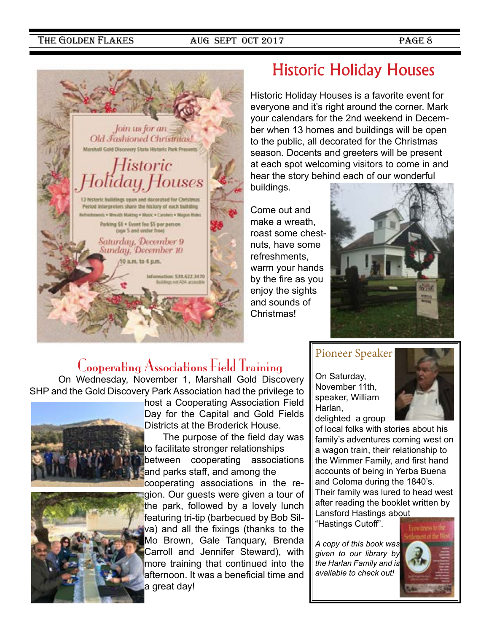![](_page_7_Picture_3.jpeg)

## Historic Holiday Houses

Historic Holiday Houses is a favorite event for everyone and it's right around the corner. Mark your calendars for the 2nd weekend in December when 13 homes and buildings will be open to the public, all decorated for the Christmas season. Docents and greeters will be present at each spot welcoming visitors to come in and hear the story behind each of our wonderful buildings.

Come out and make a wreath, roast some chestnuts, have some refreshments, warm your hands by the fire as you enjoy the sights and sounds of Christmas!

![](_page_7_Picture_7.jpeg)

## Cooperating Associations Field Training

On Wednesday, November 1, Marshall Gold Discovery SHP and the Gold Discovery Park Association had the privilege to

![](_page_7_Picture_10.jpeg)

![](_page_7_Picture_11.jpeg)

host a Cooperating Association Field Day for the Capital and Gold Fields Districts at the Broderick House.

 The purpose of the field day was to facilitate stronger relationships between cooperating associations and parks staff, and among the

cooperating associations in the region. Our guests were given a tour of

the park, followed by a lovely lunch featuring tri-tip (barbecued by Bob Silva) and all the fixings (thanks to the Mo Brown, Gale Tanquary, Brenda Carroll and Jennifer Steward), with more training that continued into the afternoon. It was a beneficial time and a great day!

## Pioneer Speaker

On Saturday, November 11th, speaker, William Harlan, delighted a group

![](_page_7_Picture_18.jpeg)

of local folks with stories about his family's adventures coming west on a wagon train, their relationship to the Wimmer Family, and first hand accounts of being in Yerba Buena and Coloma during the 1840's. Their family was lured to head west after reading the booklet written by Lansford Hastings about

"Hastings Cutoff".

*A copy of this book was given to our library by the Harlan Family and is available to check out!* 

![](_page_7_Picture_22.jpeg)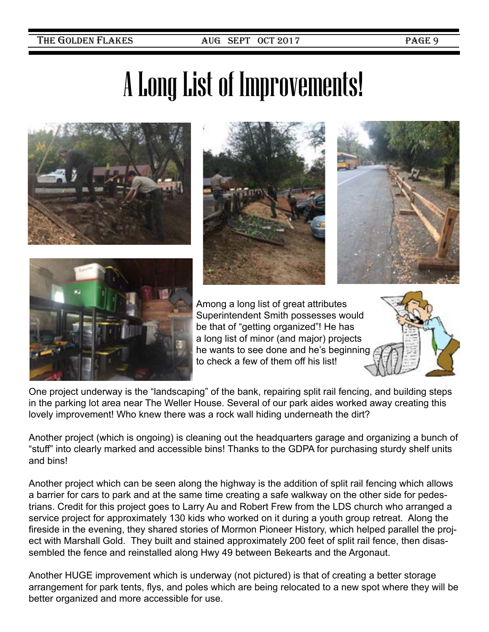# A Long List of Improvements!

![](_page_8_Picture_4.jpeg)

![](_page_8_Picture_5.jpeg)

![](_page_8_Picture_6.jpeg)

![](_page_8_Picture_7.jpeg)

Among a long list of great attributes Superintendent Smith possesses would be that of "getting organized"! He has a long list of minor (and major) projects he wants to see done and he's beginning to check a few of them off his list!

![](_page_8_Picture_9.jpeg)

One project underway is the "landscaping" of the bank, repairing split rail fencing, and building steps in the parking lot area near The Weller House. Several of our park aides worked away creating this lovely improvement! Who knew there was a rock wall hiding underneath the dirt?

Another project (which is ongoing) is cleaning out the headquarters garage and organizing a bunch of "stuff" into clearly marked and accessible bins! Thanks to the GDPA for purchasing sturdy shelf units and bins!

Another project which can be seen along the highway is the addition of split rail fencing which allows a barrier for cars to park and at the same time creating a safe walkway on the other side for pedestrians. Credit for this project goes to Larry Au and Robert Frew from the LDS church who arranged a service project for approximately 130 kids who worked on it during a youth group retreat. Along the fireside in the evening, they shared stories of Mormon Pioneer History, which helped parallel the project with Marshall Gold. They built and stained approximately 200 feet of split rail fence, then disassembled the fence and reinstalled along Hwy 49 between Bekearts and the Argonaut.

Another HUGE improvement which is underway (not pictured) is that of creating a better storage arrangement for park tents, flys, and poles which are being relocated to a new spot where they will be better organized and more accessible for use.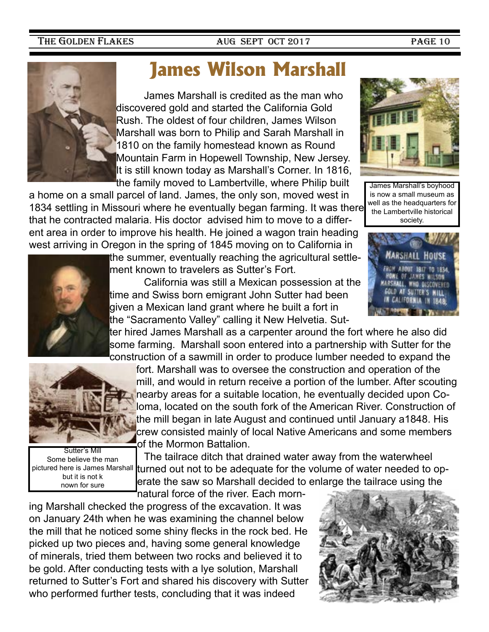![](_page_9_Picture_3.jpeg)

# **James Wilson Marshall**

James Marshall is credited as the man who discovered gold and started the California Gold Rush. The oldest of four children, James Wilson Marshall was born to Philip and Sarah Marshall in 1810 on the family homestead known as Round Mountain Farm in Hopewell Township, New Jersey. It is still known today as Marshall's Corner. In 1816, the family moved to Lambertville, where Philip built

a home on a small parcel of land. James, the only son, moved west in 1834 settling in Missouri where he eventually began farming. It was there that he contracted malaria. His doctor advised him to move to a different area in order to improve his health. He joined a wagon train heading west arriving in Oregon in the spring of 1845 moving on to California in

![](_page_9_Picture_7.jpeg)

the summer, eventually reaching the agricultural settlement known to travelers as Sutter's Fort.

 California was still a Mexican possession at the time and Swiss born emigrant John Sutter had been given a Mexican land grant where he built a fort in the "Sacramento Valley" calling it New Helvetia. Sut-

ter hired James Marshall as a carpenter around the fort where he also did some farming. Marshall soon entered into a partnership with Sutter for the construction of a sawmill in order to produce lumber needed to expand the

![](_page_9_Picture_11.jpeg)

Sutter's Mill Some believe the man pictured here is James Marshall but it is not k nown for sure

fort. Marshall was to oversee the construction and operation of the mill, and would in return receive a portion of the lumber. After scouting nearby areas for a suitable location, he eventually decided upon Coloma, located on the south fork of the American River. Construction of the mill began in late August and continued until January a1848. His crew consisted mainly of local Native Americans and some members of the Mormon Battalion.

The tailrace ditch that drained water away from the waterwheel turned out not to be adequate for the volume of water needed to operate the saw so Marshall decided to enlarge the tailrace using the

natural force of the river. Each morn-

ing Marshall checked the progress of the excavation. It was on January 24th when he was examining the channel below the mill that he noticed some shiny flecks in the rock bed. He picked up two pieces and, having some general knowledge of minerals, tried them between two rocks and believed it to be gold. After conducting tests with a lye solution, Marshall returned to Sutter's Fort and shared his discovery with Sutter who performed further tests, concluding that it was indeed

![](_page_9_Picture_17.jpeg)

![](_page_9_Picture_18.jpeg)

![](_page_9_Picture_19.jpeg)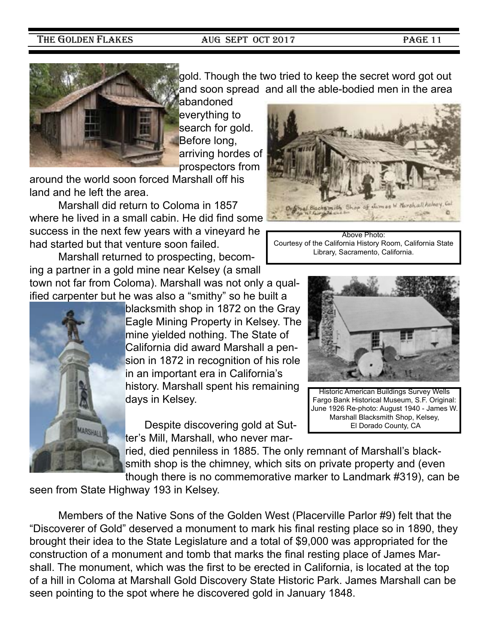![](_page_10_Picture_3.jpeg)

gold. Though the two tried to keep the secret word got out and soon spread and all the able-bodied men in the area

abandoned everything to search for gold. Before long, arriving hordes of prospectors from

around the world soon forced Marshall off his land and he left the area.

Marshall did return to Coloma in 1857 where he lived in a small cabin. He did find some success in the next few years with a vineyard he had started but that venture soon failed.

Marshall returned to prospecting, becoming a partner in a gold mine near Kelsey (a small town not far from Coloma). Marshall was not only a qualified carpenter but he was also a "smithy" so he built a

blacksmith shop in 1872 on the Gray Eagle Mining Property in Kelsey. The mine yielded nothing. The State of California did award Marshall a pension in 1872 in recognition of his role in an important era in California's history. Marshall spent his remaining days in Kelsey.

Despite discovering gold at Sutter's Mill, Marshall, who never mar-

ried, died penniless in 1885. The only remnant of Marshall's blacksmith shop is the chimney, which sits on private property and (even though there is no commemorative marker to Landmark #319), can be

seen from State Highway 193 in Kelsey.

Members of the Native Sons of the Golden West (Placerville Parlor #9) felt that the "Discoverer of Gold" deserved a monument to mark his final resting place so in 1890, they brought their idea to the State Legislature and a total of \$9,000 was appropriated for the construction of a monument and tomb that marks the final resting place of James Marshall. The monument, which was the first to be erected in California, is located at the top of a hill in Coloma at Marshall Gold Discovery State Historic Park. James Marshall can be seen pointing to the spot where he discovered gold in January 1848.

![](_page_10_Picture_15.jpeg)

Above Photo: Courtesy of the California History Room, California State Library, Sacramento, California.

![](_page_10_Picture_17.jpeg)

Historic American Buildings Survey Wells Fargo Bank Historical Museum, S.F. Original: June 1926 Re-photo: August 1940 - James W. Marshall Blacksmith Shop, Kelsey, El Dorado County, CA